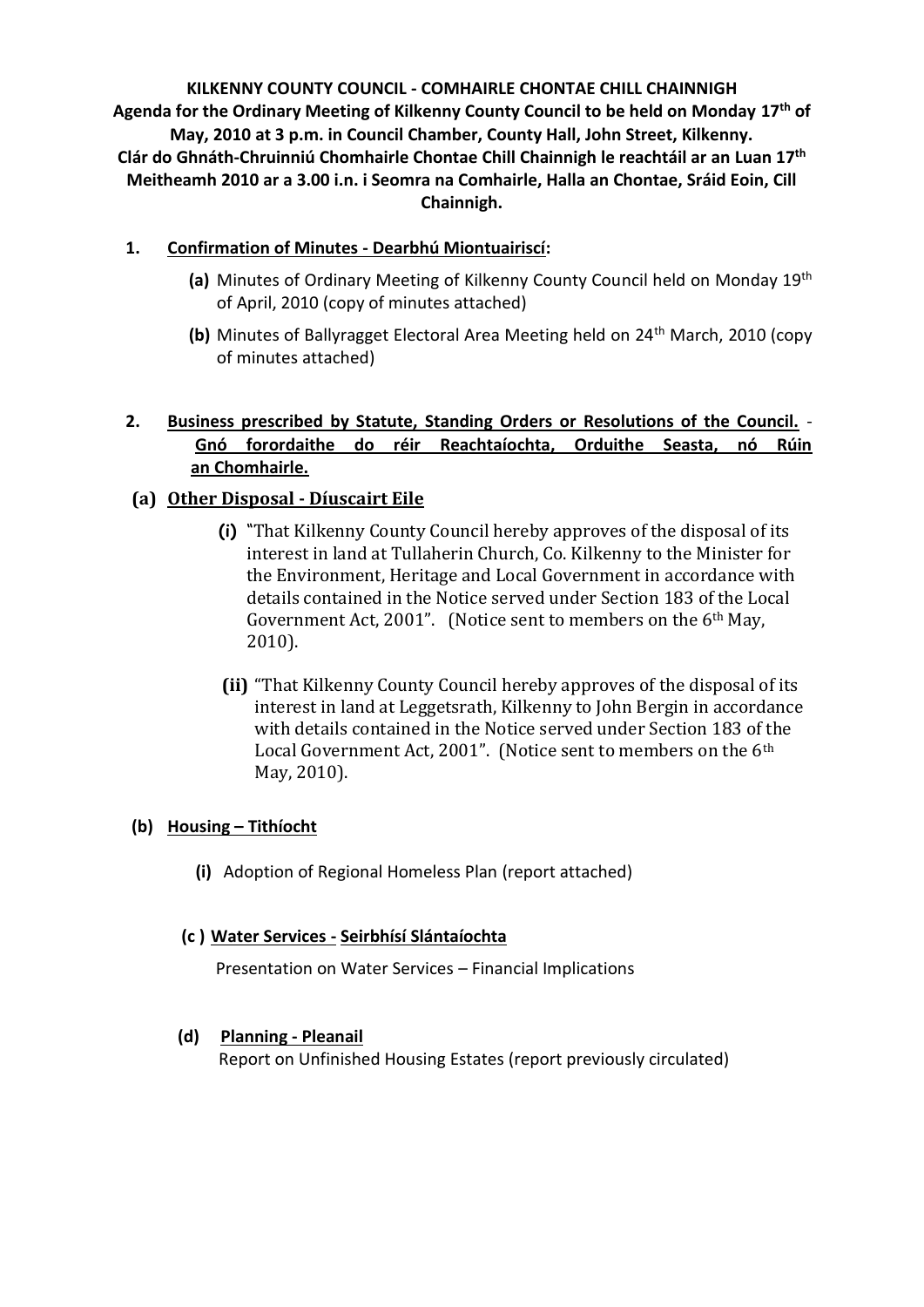**KILKENNY COUNTY COUNCIL - COMHAIRLE CHONTAE CHILL CHAINNIGH Agenda for the Ordinary Meeting of Kilkenny County Council to be held on Monday 17th of May, 2010 at 3 p.m. in Council Chamber, County Hall, John Street, Kilkenny. Clár do Ghnáth-Chruinniú Chomhairle Chontae Chill Chainnigh le reachtáil ar an Luan 17 th Meitheamh 2010 ar a 3.00 i.n. i Seomra na Comhairle, Halla an Chontae, Sráid Eoin, Cill Chainnigh.**

# **1. Confirmation of Minutes - Dearbhú Miontuairiscí:**

- (a) Minutes of Ordinary Meeting of Kilkenny County Council held on Monday 19<sup>th</sup> of April, 2010 (copy of minutes attached)
- **(b)** Minutes of Ballyragget Electoral Area Meeting held on 24th March, 2010 (copy of minutes attached)

# **2. Business prescribed by Statute, Standing Orders or Resolutions of the Council.** - **Gnó forordaithe do réir Reachtaíochta, Orduithe Seasta, nó Rúin an Chomhairle.**

# **(a) Other Disposal - Díuscairt Eile**

- **(i)** "That Kilkenny County Council hereby approves of the disposal of its interest in land at Tullaherin Church, Co. Kilkenny to the Minister for the Environment, Heritage and Local Government in accordance with details contained in the Notice served under Section 183 of the Local Government Act, 2001". (Notice sent to members on the 6th May, 2010).
- **(ii)** "That Kilkenny County Council hereby approves of the disposal of its interest in land at Leggetsrath, Kilkenny to John Bergin in accordance with details contained in the Notice served under Section 183 of the Local Government Act, 2001". (Notice sent to members on the 6<sup>th</sup> May, 2010).

# **(b) Housing – Tithíocht**

**(i)** Adoption of Regional Homeless Plan (report attached)

# **(c ) Water Services - Seirbhísí Slántaíochta**

Presentation on Water Services – Financial Implications

# **(d) Planning - Pleanail**

Report on Unfinished Housing Estates (report previously circulated)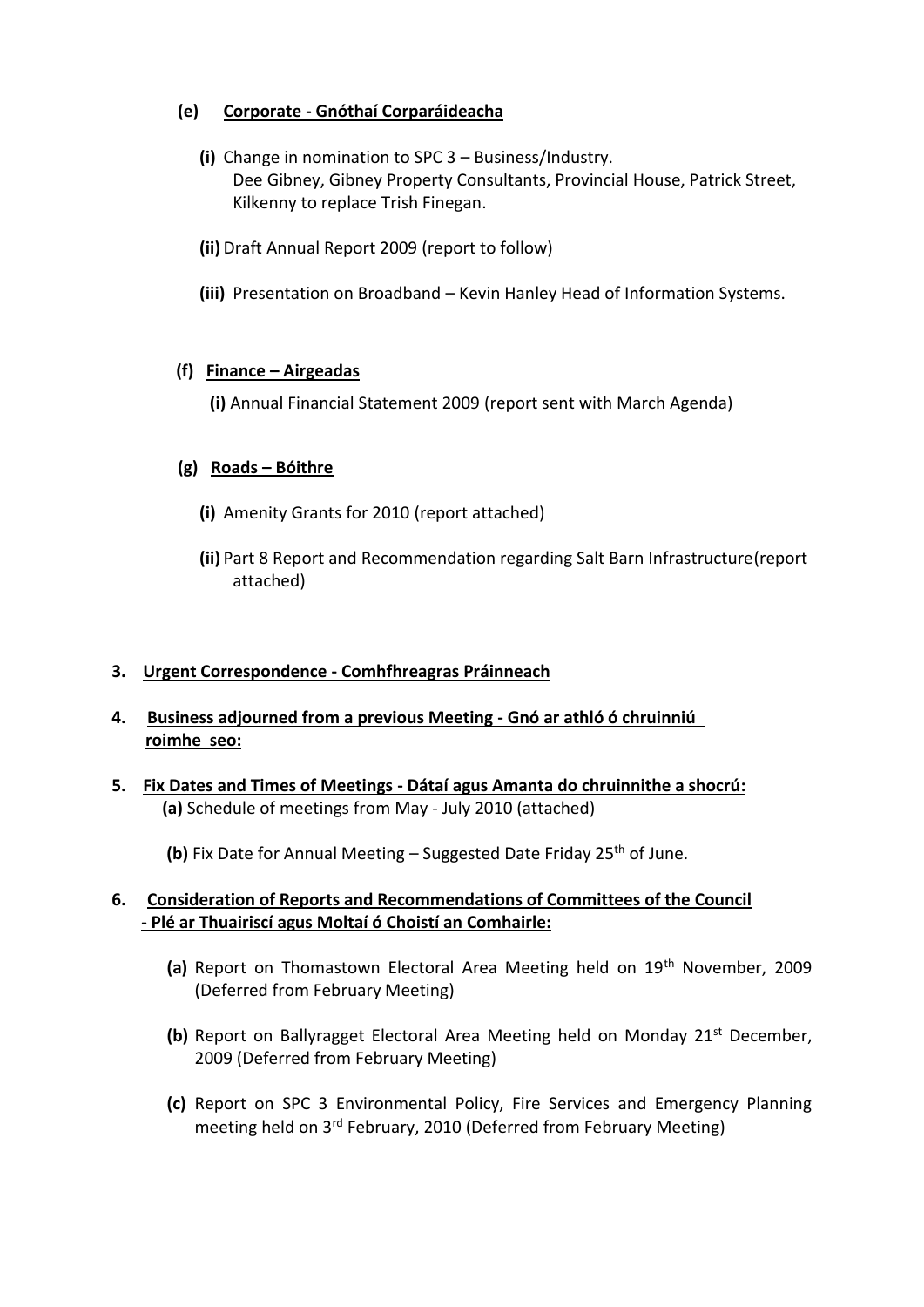# **(e) Corporate - Gnóthaí Corparáideacha**

- **(i)** Change in nomination to SPC 3 Business/Industry. Dee Gibney, Gibney Property Consultants, Provincial House, Patrick Street, Kilkenny to replace Trish Finegan.
- **(ii)** Draft Annual Report 2009 (report to follow)
- **(iii)** Presentation on Broadband Kevin Hanley Head of Information Systems.

### **(f) Finance – Airgeadas**

**(i)** Annual Financial Statement 2009 (report sent with March Agenda)

### **(g) Roads – Bóithre**

- **(i)** Amenity Grants for 2010 (report attached)
- **(ii)** Part 8 Report and Recommendation regarding Salt Barn Infrastructure(report attached)

# **3. Urgent Correspondence - Comhfhreagras Práinneach**

- **4. Business adjourned from a previous Meeting - Gnó ar athló ó chruinniú roimhe seo:**
- **5. Fix Dates and Times of Meetings - Dátaí agus Amanta do chruinnithe a shocrú: (a)** Schedule of meetings from May - July 2010 (attached)

**(b)** Fix Date for Annual Meeting – Suggested Date Friday 25<sup>th</sup> of June.

### **6. Consideration of Reports and Recommendations of Committees of the Council - Plé ar Thuairiscí agus Moltaí ó Choistí an Comhairle:**

- (a) Report on Thomastown Electoral Area Meeting held on 19<sup>th</sup> November, 2009 (Deferred from February Meeting)
- **(b)** Report on Ballyragget Electoral Area Meeting held on Monday 21<sup>st</sup> December, 2009 (Deferred from February Meeting)
- **(c)** Report on SPC 3 Environmental Policy, Fire Services and Emergency Planning meeting held on 3<sup>rd</sup> February, 2010 (Deferred from February Meeting)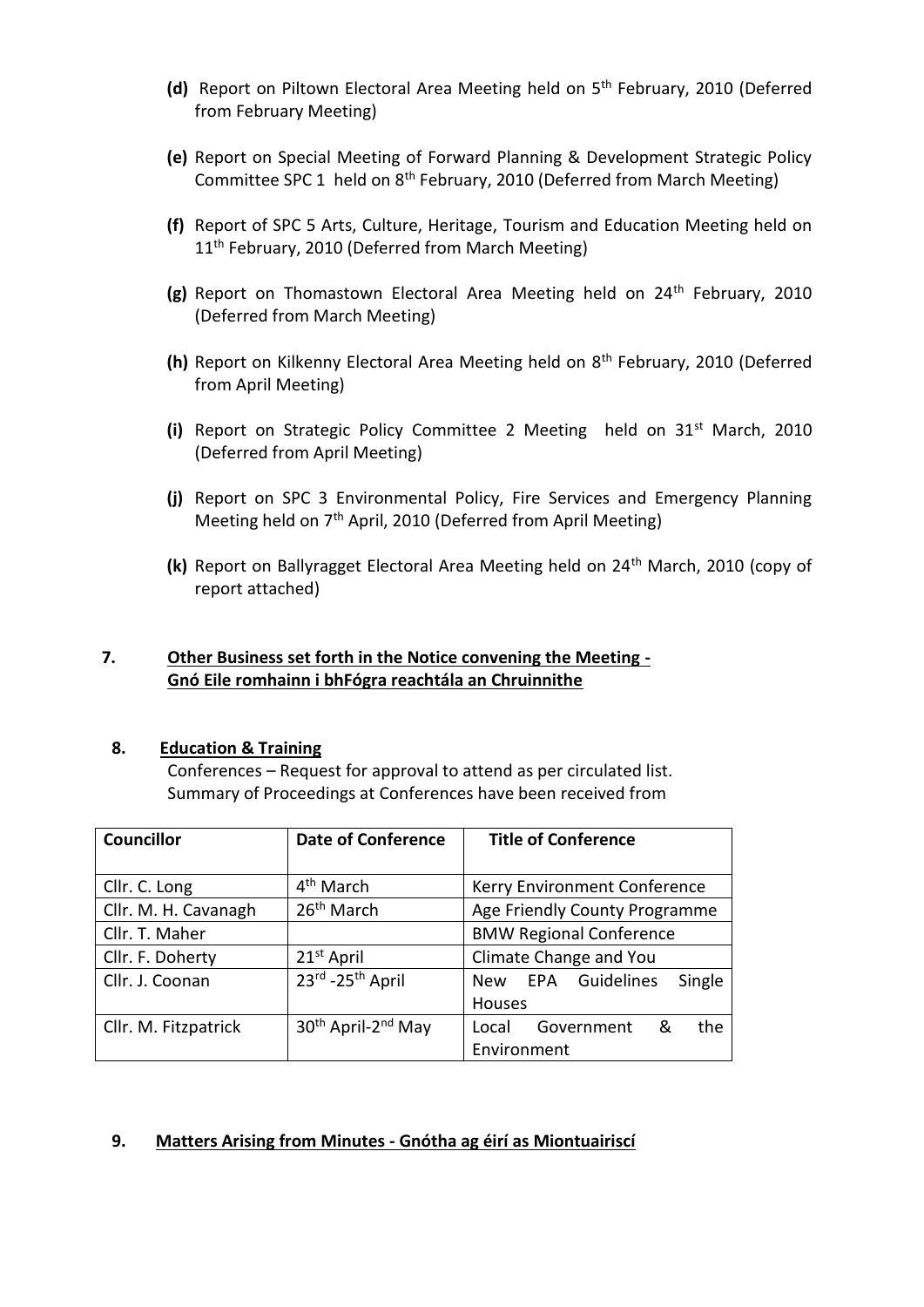- **(d)** Report on Piltown Electoral Area Meeting held on 5th February, 2010 (Deferred from February Meeting)
- **(e)** Report on Special Meeting of Forward Planning & Development Strategic Policy Committee SPC 1 held on 8th February, 2010 (Deferred from March Meeting)
- **(f)** Report of SPC 5 Arts, Culture, Heritage, Tourism and Education Meeting held on 11<sup>th</sup> February, 2010 (Deferred from March Meeting)
- **(g)** Report on Thomastown Electoral Area Meeting held on 24<sup>th</sup> February, 2010 (Deferred from March Meeting)
- **(h)** Report on Kilkenny Electoral Area Meeting held on 8th February, 2010 (Deferred from April Meeting)
- **(i)** Report on Strategic Policy Committee 2 Meeting held on 31st March, 2010 (Deferred from April Meeting)
- **(j)** Report on SPC 3 Environmental Policy, Fire Services and Emergency Planning Meeting held on 7th April, 2010 (Deferred from April Meeting)
- **(k)** Report on Ballyragget Electoral Area Meeting held on 24th March, 2010 (copy of report attached)

# **7. Other Business set forth in the Notice convening the Meeting - Gnó Eile romhainn i bhFógra reachtála an Chruinnithe**

#### **8. Education & Training**

Conferences – Request for approval to attend as per circulated list. Summary of Proceedings at Conferences have been received from

| <b>Councillor</b>    | <b>Date of Conference</b>                  | <b>Title of Conference</b>      |
|----------------------|--------------------------------------------|---------------------------------|
|                      |                                            |                                 |
| Cllr. C. Long        | 4 <sup>th</sup> March                      | Kerry Environment Conference    |
| Cllr. M. H. Cavanagh | 26 <sup>th</sup> March                     | Age Friendly County Programme   |
| Cllr. T. Maher       |                                            | <b>BMW Regional Conference</b>  |
| Cllr. F. Doherty     | 21 <sup>st</sup> April                     | Climate Change and You          |
| Cllr. J. Coonan      | 23rd - 25 <sup>th</sup> April              | New EPA Guidelines<br>Single    |
|                      |                                            | Houses                          |
| Cllr. M. Fitzpatrick | 30 <sup>th</sup> April-2 <sup>nd</sup> May | the<br>Government<br>&<br>Local |
|                      |                                            | Environment                     |

# **9. Matters Arising from Minutes - Gnótha ag éirí as Miontuairiscí**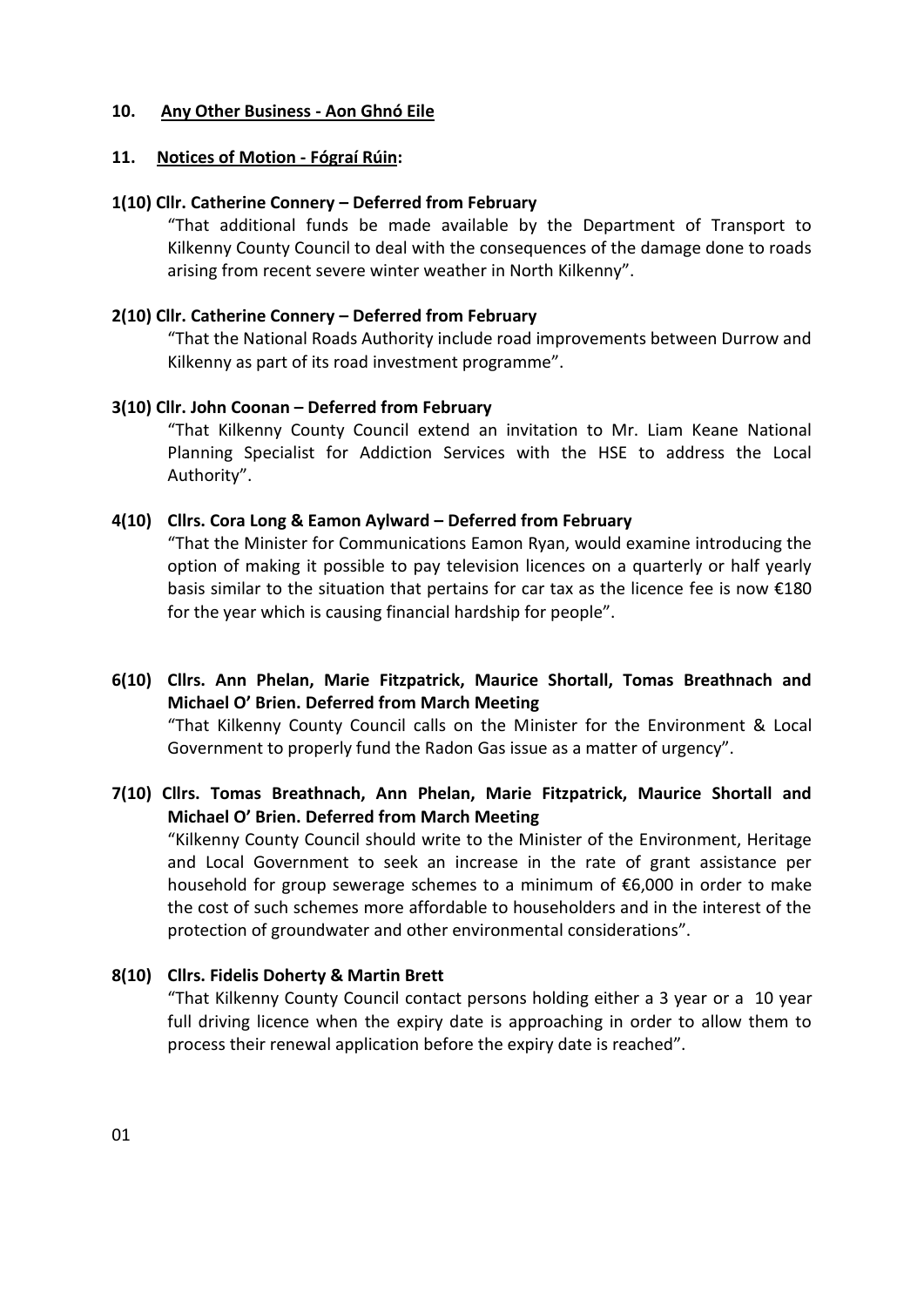#### **10. Any Other Business - Aon Ghnó Eile**

### **11. Notices of Motion - Fógraí Rúin:**

### **1(10) Cllr. Catherine Connery – Deferred from February**

"That additional funds be made available by the Department of Transport to Kilkenny County Council to deal with the consequences of the damage done to roads arising from recent severe winter weather in North Kilkenny".

### **2(10) Cllr. Catherine Connery – Deferred from February**

"That the National Roads Authority include road improvements between Durrow and Kilkenny as part of its road investment programme".

### **3(10) Cllr. John Coonan – Deferred from February**

"That Kilkenny County Council extend an invitation to Mr. Liam Keane National Planning Specialist for Addiction Services with the HSE to address the Local Authority".

### **4(10) Cllrs. Cora Long & Eamon Aylward – Deferred from February**

"That the Minister for Communications Eamon Ryan, would examine introducing the option of making it possible to pay television licences on a quarterly or half yearly basis similar to the situation that pertains for car tax as the licence fee is now  $£180$ for the year which is causing financial hardship for people".

- **6(10) Cllrs. Ann Phelan, Marie Fitzpatrick, Maurice Shortall, Tomas Breathnach and Michael O' Brien. Deferred from March Meeting**  "That Kilkenny County Council calls on the Minister for the Environment & Local Government to properly fund the Radon Gas issue as a matter of urgency".
- **7(10) Cllrs. Tomas Breathnach, Ann Phelan, Marie Fitzpatrick, Maurice Shortall and Michael O' Brien. Deferred from March Meeting**

"Kilkenny County Council should write to the Minister of the Environment, Heritage and Local Government to seek an increase in the rate of grant assistance per household for group sewerage schemes to a minimum of €6,000 in order to make the cost of such schemes more affordable to householders and in the interest of the protection of groundwater and other environmental considerations".

# **8(10) Cllrs. Fidelis Doherty & Martin Brett**

"That Kilkenny County Council contact persons holding either a 3 year or a 10 year full driving licence when the expiry date is approaching in order to allow them to process their renewal application before the expiry date is reached".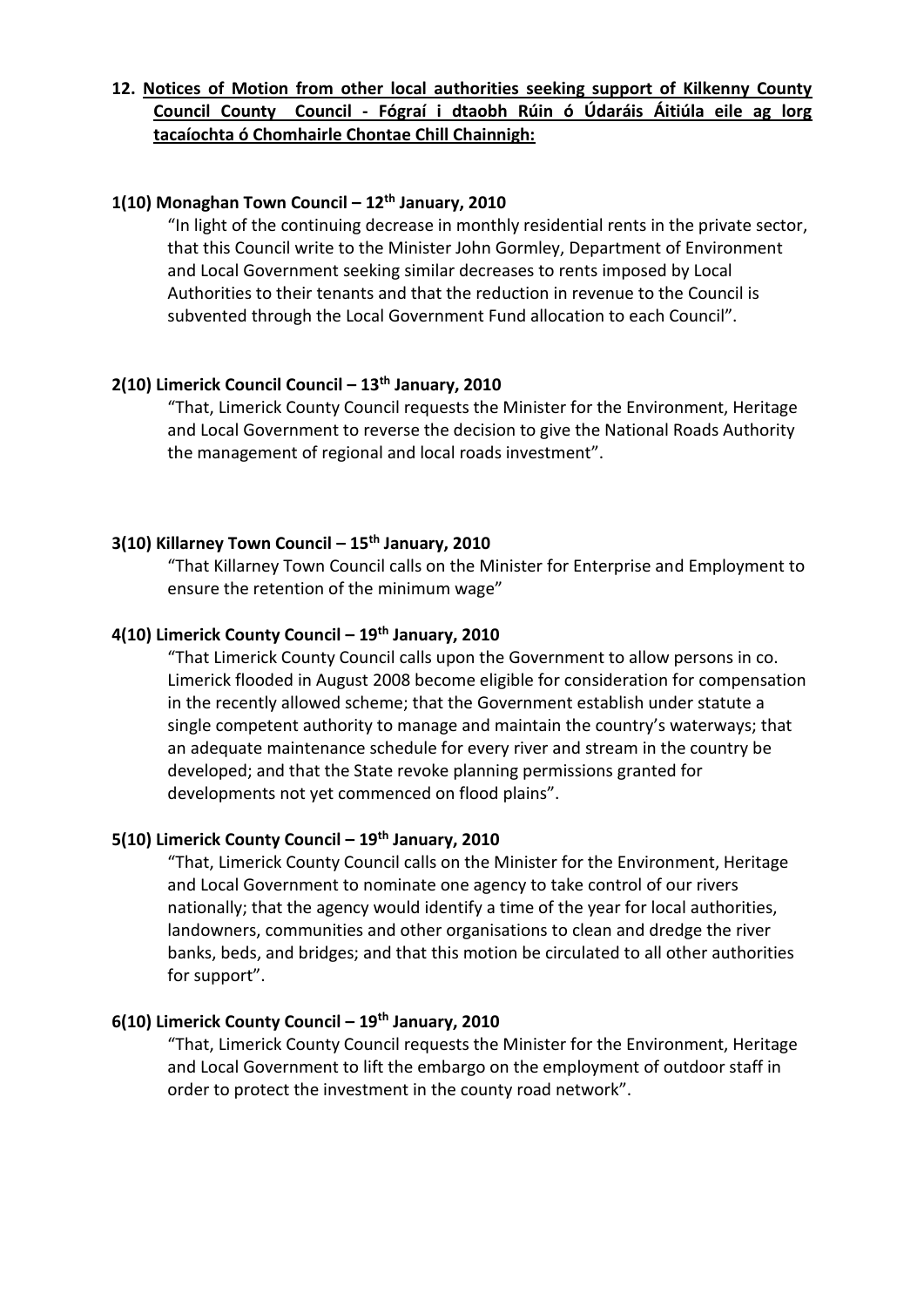# **12. Notices of Motion from other local authorities seeking support of Kilkenny County Council County Council - Fógraí i dtaobh Rúin ó Údaráis Áitiúla eile ag lorg tacaíochta ó Chomhairle Chontae Chill Chainnigh:**

### **1(10) Monaghan Town Council – 12th January, 2010**

"In light of the continuing decrease in monthly residential rents in the private sector, that this Council write to the Minister John Gormley, Department of Environment and Local Government seeking similar decreases to rents imposed by Local Authorities to their tenants and that the reduction in revenue to the Council is subvented through the Local Government Fund allocation to each Council".

# **2(10) Limerick Council Council – 13th January, 2010**

"That, Limerick County Council requests the Minister for the Environment, Heritage and Local Government to reverse the decision to give the National Roads Authority the management of regional and local roads investment".

# **3(10) Killarney Town Council – 15th January, 2010**

"That Killarney Town Council calls on the Minister for Enterprise and Employment to ensure the retention of the minimum wage"

#### **4(10) Limerick County Council – 19th January, 2010**

"That Limerick County Council calls upon the Government to allow persons in co. Limerick flooded in August 2008 become eligible for consideration for compensation in the recently allowed scheme; that the Government establish under statute a single competent authority to manage and maintain the country's waterways; that an adequate maintenance schedule for every river and stream in the country be developed; and that the State revoke planning permissions granted for developments not yet commenced on flood plains".

#### **5(10) Limerick County Council – 19th January, 2010**

"That, Limerick County Council calls on the Minister for the Environment, Heritage and Local Government to nominate one agency to take control of our rivers nationally; that the agency would identify a time of the year for local authorities, landowners, communities and other organisations to clean and dredge the river banks, beds, and bridges; and that this motion be circulated to all other authorities for support".

### **6(10) Limerick County Council – 19th January, 2010**

"That, Limerick County Council requests the Minister for the Environment, Heritage and Local Government to lift the embargo on the employment of outdoor staff in order to protect the investment in the county road network".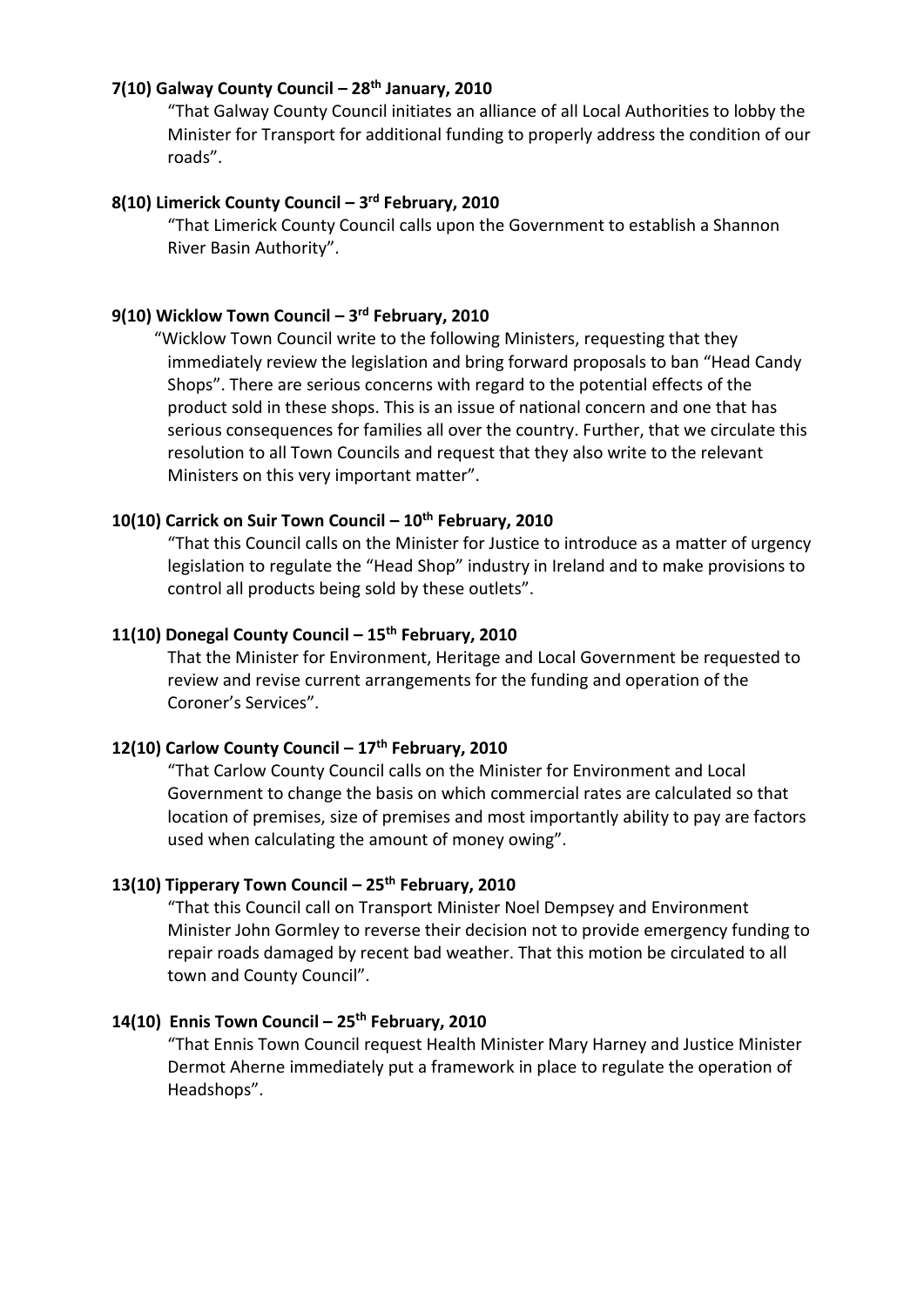#### **7(10) Galway County Council – 28th January, 2010**

"That Galway County Council initiates an alliance of all Local Authorities to lobby the Minister for Transport for additional funding to properly address the condition of our roads".

### **8(10) Limerick County Council – 3 rd February, 2010**

"That Limerick County Council calls upon the Government to establish a Shannon River Basin Authority".

### **9(10) Wicklow Town Council – 3 rd February, 2010**

 "Wicklow Town Council write to the following Ministers, requesting that they immediately review the legislation and bring forward proposals to ban "Head Candy Shops". There are serious concerns with regard to the potential effects of the product sold in these shops. This is an issue of national concern and one that has serious consequences for families all over the country. Further, that we circulate this resolution to all Town Councils and request that they also write to the relevant Ministers on this very important matter".

# **10(10) Carrick on Suir Town Council – 10th February, 2010**

"That this Council calls on the Minister for Justice to introduce as a matter of urgency legislation to regulate the "Head Shop" industry in Ireland and to make provisions to control all products being sold by these outlets".

#### **11(10) Donegal County Council – 15th February, 2010**

That the Minister for Environment, Heritage and Local Government be requested to review and revise current arrangements for the funding and operation of the Coroner's Services".

### **12(10) Carlow County Council – 17th February, 2010**

"That Carlow County Council calls on the Minister for Environment and Local Government to change the basis on which commercial rates are calculated so that location of premises, size of premises and most importantly ability to pay are factors used when calculating the amount of money owing".

# **13(10) Tipperary Town Council – 25th February, 2010**

"That this Council call on Transport Minister Noel Dempsey and Environment Minister John Gormley to reverse their decision not to provide emergency funding to repair roads damaged by recent bad weather. That this motion be circulated to all town and County Council".

# **14(10) Ennis Town Council – 25th February, 2010**

"That Ennis Town Council request Health Minister Mary Harney and Justice Minister Dermot Aherne immediately put a framework in place to regulate the operation of Headshops".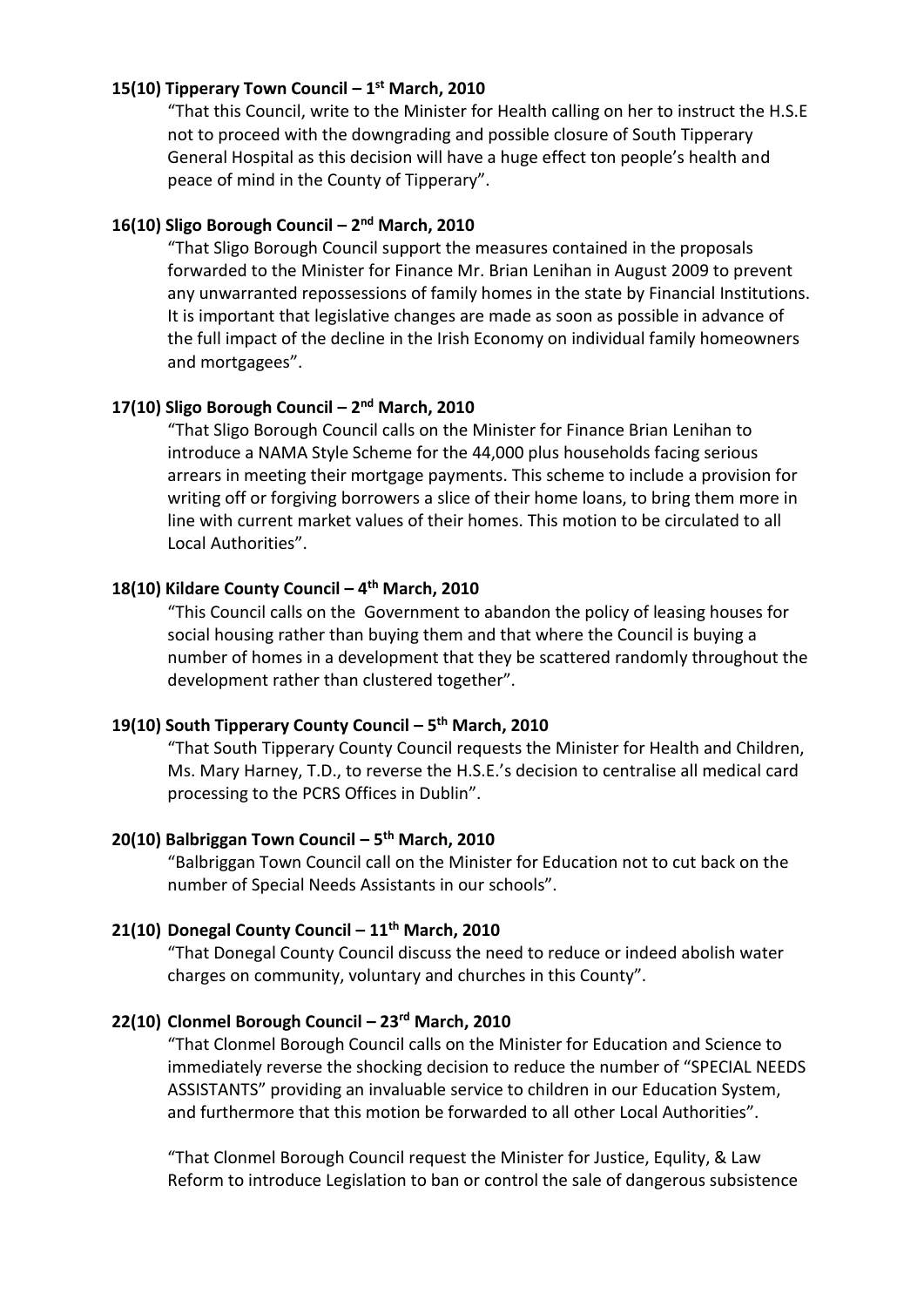### **15(10) Tipperary Town Council – 1 st March, 2010**

"That this Council, write to the Minister for Health calling on her to instruct the H.S.E not to proceed with the downgrading and possible closure of South Tipperary General Hospital as this decision will have a huge effect ton people's health and peace of mind in the County of Tipperary".

### **16(10) Sligo Borough Council – 2 nd March, 2010**

"That Sligo Borough Council support the measures contained in the proposals forwarded to the Minister for Finance Mr. Brian Lenihan in August 2009 to prevent any unwarranted repossessions of family homes in the state by Financial Institutions. It is important that legislative changes are made as soon as possible in advance of the full impact of the decline in the Irish Economy on individual family homeowners and mortgagees".

#### **17(10) Sligo Borough Council – 2 nd March, 2010**

"That Sligo Borough Council calls on the Minister for Finance Brian Lenihan to introduce a NAMA Style Scheme for the 44,000 plus households facing serious arrears in meeting their mortgage payments. This scheme to include a provision for writing off or forgiving borrowers a slice of their home loans, to bring them more in line with current market values of their homes. This motion to be circulated to all Local Authorities".

#### **18(10) Kildare County Council – 4 th March, 2010**

"This Council calls on the Government to abandon the policy of leasing houses for social housing rather than buying them and that where the Council is buying a number of homes in a development that they be scattered randomly throughout the development rather than clustered together".

#### **19(10) South Tipperary County Council – 5 th March, 2010**

"That South Tipperary County Council requests the Minister for Health and Children, Ms. Mary Harney, T.D., to reverse the H.S.E.'s decision to centralise all medical card processing to the PCRS Offices in Dublin".

#### **20(10) Balbriggan Town Council – 5 th March, 2010**

"Balbriggan Town Council call on the Minister for Education not to cut back on the number of Special Needs Assistants in our schools".

## **21(10) Donegal County Council – 11th March, 2010**

"That Donegal County Council discuss the need to reduce or indeed abolish water charges on community, voluntary and churches in this County".

### **22(10) Clonmel Borough Council – 23rd March, 2010**

"That Clonmel Borough Council calls on the Minister for Education and Science to immediately reverse the shocking decision to reduce the number of "SPECIAL NEEDS ASSISTANTS" providing an invaluable service to children in our Education System, and furthermore that this motion be forwarded to all other Local Authorities".

"That Clonmel Borough Council request the Minister for Justice, Equlity, & Law Reform to introduce Legislation to ban or control the sale of dangerous subsistence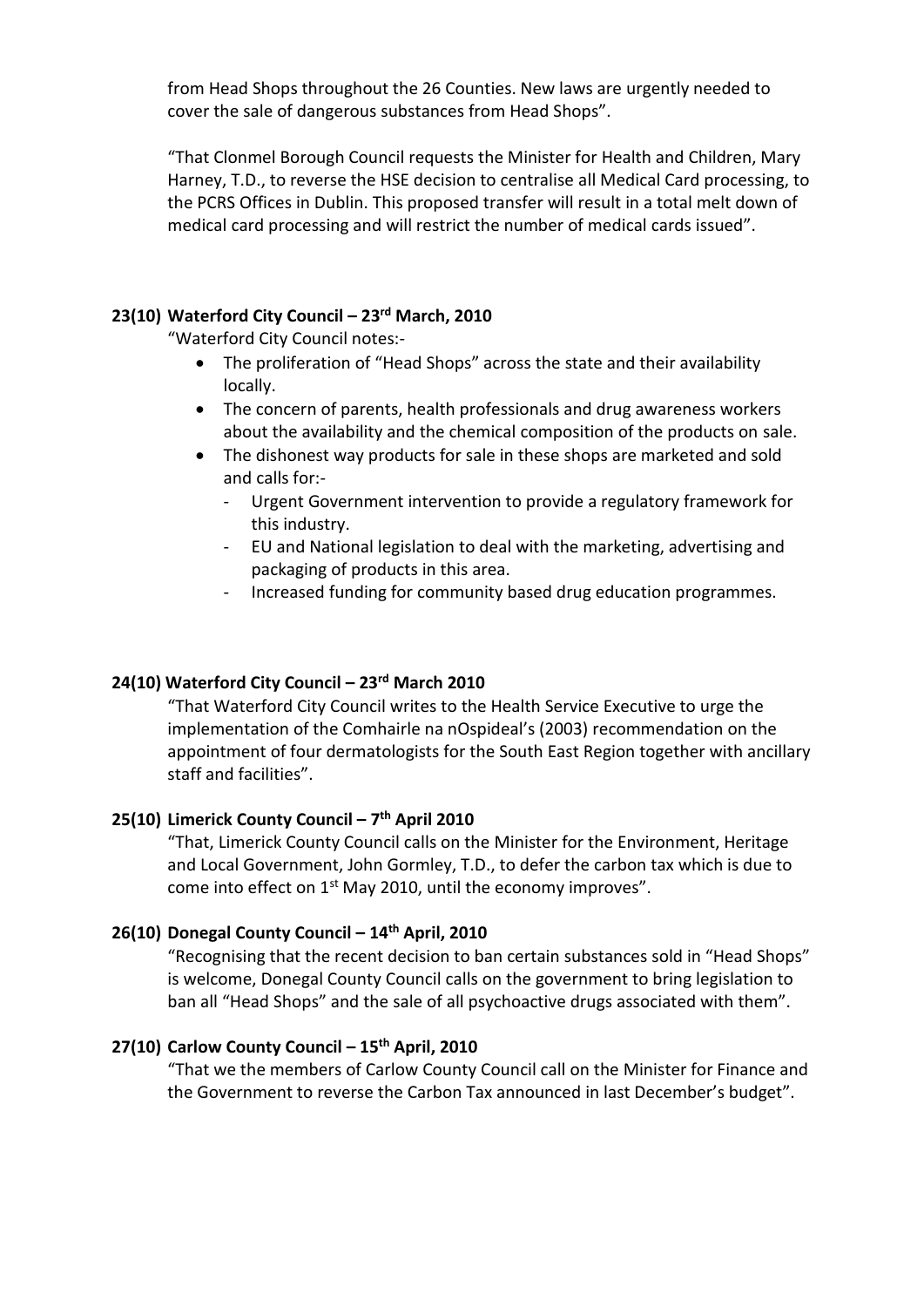from Head Shops throughout the 26 Counties. New laws are urgently needed to cover the sale of dangerous substances from Head Shops".

"That Clonmel Borough Council requests the Minister for Health and Children, Mary Harney, T.D., to reverse the HSE decision to centralise all Medical Card processing, to the PCRS Offices in Dublin. This proposed transfer will result in a total melt down of medical card processing and will restrict the number of medical cards issued".

# **23(10) Waterford City Council – 23rd March, 2010**

"Waterford City Council notes:-

- The proliferation of "Head Shops" across the state and their availability locally.
- The concern of parents, health professionals and drug awareness workers about the availability and the chemical composition of the products on sale.
- The dishonest way products for sale in these shops are marketed and sold and calls for:-
	- Urgent Government intervention to provide a regulatory framework for this industry.
	- EU and National legislation to deal with the marketing, advertising and packaging of products in this area.
	- Increased funding for community based drug education programmes.

### **24(10) Waterford City Council – 23rd March 2010**

"That Waterford City Council writes to the Health Service Executive to urge the implementation of the Comhairle na nOspideal's (2003) recommendation on the appointment of four dermatologists for the South East Region together with ancillary staff and facilities".

#### **25(10) Limerick County Council – 7 th April 2010**

"That, Limerick County Council calls on the Minister for the Environment, Heritage and Local Government, John Gormley, T.D., to defer the carbon tax which is due to come into effect on 1<sup>st</sup> May 2010, until the economy improves".

#### **26(10) Donegal County Council – 14th April, 2010**

"Recognising that the recent decision to ban certain substances sold in "Head Shops" is welcome, Donegal County Council calls on the government to bring legislation to ban all "Head Shops" and the sale of all psychoactive drugs associated with them".

### **27(10) Carlow County Council – 15th April, 2010**

"That we the members of Carlow County Council call on the Minister for Finance and the Government to reverse the Carbon Tax announced in last December's budget".